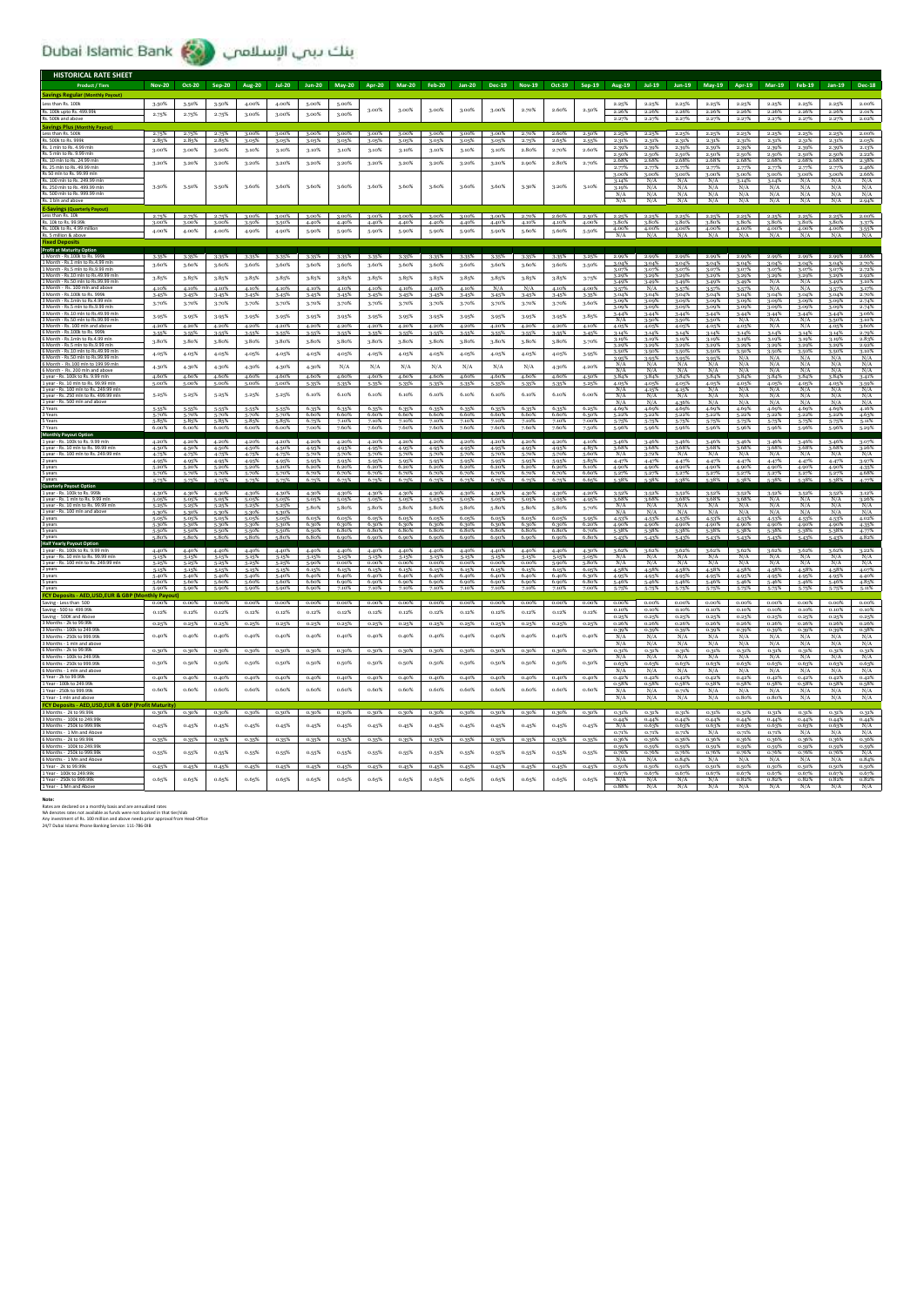بنك بيب الإسلامي (Dubai Islamic Bank

| <b>HISTORICAL RATE SHEET</b>                                                   |                    |                |                |                |                |                |                   |                |                   |                   |                   |                   |                   |                |                |                       |                      |                   |                   |                   |                   |                      |                    |                         |
|--------------------------------------------------------------------------------|--------------------|----------------|----------------|----------------|----------------|----------------|-------------------|----------------|-------------------|-------------------|-------------------|-------------------|-------------------|----------------|----------------|-----------------------|----------------------|-------------------|-------------------|-------------------|-------------------|----------------------|--------------------|-------------------------|
| <b>Product / Tiers</b>                                                         | <b>Nov-20</b>      | Oct-20         | Sep-20         | <b>Aug-20</b>  | <b>Jul-20</b>  | <b>Jun-20</b>  | <b>May-20</b>     | <b>Apr-20</b>  | <b>Mar-20</b>     | Feb-20            | $Jan-20$          | Dec-19            | <b>Nov-19</b>     | Oct-19         | Sep-19         | Aug-19                | $Jul-19$             | Jun-19            | <b>May-19</b>     | Apr-19            | <b>Mar-19</b>     | Feb-19               | Jan-19             | <b>Dec-18</b>           |
| <b>Savings Regular (Monthly Payout)</b>                                        |                    |                |                |                |                |                |                   |                |                   |                   |                   |                   |                   |                |                |                       |                      |                   |                   |                   |                   |                      |                    |                         |
| Less than Rs. 100k                                                             | 3.50%              | 3.50%          | 3.50%          | 4.00%          | 4.00%          | 5.00%          | 5.00%             | 3.00%          | 3.00%             | 3.00%             | 3.00%             | 3.00%             | 2.70%             | 2.60%          | 2.50%          | 2.25%                 | $2.25\%$             | 2.25%             | 2.25%             | 2.25%             | 2.25%             | 2.25%                | $2.25\%$           | 2.00%                   |
| Rs. 100k upto Rs. 499.99k<br>Rs. 500k and abov                                 | 2.75%              | 2.75%          | 2.75%          | 3.00%          | 3.00%          | 3.00%          | 3.00%             |                |                   |                   |                   |                   |                   |                |                | 2.26%                 | 2.26%                | 2.26%<br>2.27%    | 2.26%<br>2.27%    | 2.26%<br>2.27%    | 2.26%             | 2.26%                | 2.26%<br>2.27%     | 2.01%<br>2.02%          |
| <b>Savings Plus (Monthly Payout)</b>                                           |                    |                |                |                |                |                |                   |                |                   |                   |                   |                   |                   |                |                |                       |                      |                   |                   |                   |                   |                      |                    |                         |
| Less than Rs. 500k<br>Rs. 500k to Rs. 999                                      | 2.75%<br>2.85%     | 2.75%<br>2.85% | 2.75%<br>2.85% | 3.00%<br>3.05% | 3.00%<br>3.05% | 3.00%<br>3.05% | 3.00%<br>3.05%    | 3.00%<br>3.05% | 3.00%<br>3.05%    | $3.00\%$<br>3.05% | 3.00%<br>3.05%    | 3.00%<br>3.05%    | 2.70%<br>2.75%    | 2.60%<br>2.65% | 2.50%<br>2.55% | 2.25%<br>2.31%        | 2.25%<br>2.31%       | 2.25%<br>2.31%    | 2.25%<br>2.31%    | 2.25%<br>2.31%    | 2.25%<br>2.31%    | 2.25%<br>2.31%       | 2.25%<br>2.31%     | 2.00%<br>2.05%          |
| Rs. 1 mln to Rs. 4.99 ml                                                       | 3.00%              | 3.00%          | 3.00%          | 3.10%          | 3.10%          | 3.10%          | 3.10%             | 3.10%          | 3.10%             | 3.10%             | 3.10%             | 3.10%             | 2.80%             | 2.70%          | 2.60%          | 2.39%                 | 2.39%                | 2.39%             | 2.39%             | 2.39%             |                   | 2.39%                | 2.39%              | 2.13%                   |
| Rs. 5 mln to Rs. 9.99 mln<br>Rs. 10 mln to Rs. 24.99 mln                       |                    |                |                |                |                |                |                   |                |                   |                   |                   |                   |                   |                |                | 2.50%<br>2.68%        | 2.50%<br>2.68%       | 2.50%<br>2.68%    | 2.50%<br>2.68%    | 2.50%<br>2.68%    | 2.50%<br>2.68%    | 2.50%<br>2.68%       | 2.50%<br>2.68%     | 2.22%<br>2.38%          |
| Rs. 25 mln to Rs. 49.99 mln                                                    | 3.20%              | 3.20%          | 3.20%          | 3.20%          | 3.20%          | 3.20%          | 3.20%             | 3.20%          | 3.20%             | 3.20%             | 3.20%             | 3.20%             | 2.90%             | 2.80%          | 2.70%          | 2.77%                 | 2.77%                | 2.77%             | 2.77%             | 2.77%             | 2.77%             | 2.77%                | 2.77%              | 2.46%                   |
| Rs. 100 mln to Rs. 249.99 ml                                                   |                    |                |                |                |                |                |                   |                |                   |                   |                   |                   |                   |                |                | 3.00%<br>3.14%        | 3.00%<br>N/A         | 3.00%<br>N/A      | 3.00%<br>N/A      | 3.00%<br>3.14%    | 3.00%<br>3.14%    | 3.00%<br>N/A         | 3.00%<br>N/A       | 2.66%<br>N/A            |
| Rs. 250 mln to Rs. 499.99 mln                                                  | 3.50%              | 3-50%          | 3.50%          | 3.60%          | 3.60%          | 3.60%          | 3.60%             | 3.60%          | 3.60%             | 3.60%             | 3.60%             | 3.60%             | 3.30%             | 3.20%          | 3.10%          | 3.19%                 | N/A                  | N/A               | N/A               | N/A               | N/A               | N/A                  | N/A                | N/A                     |
| Rs. 500 mln to Rs. 999.99 mln<br>Rs. 1 bln and above                           |                    |                |                |                |                |                |                   |                |                   |                   |                   |                   |                   |                |                | N/A<br>N/A            | N/A<br>N/A           | N/A<br>N/A        | N/A<br>N/A        | N/A<br>N/A        | N/A<br>N/A        | N/A<br>N/A           | N/A<br>N/A         | N/A<br>2.94%            |
| <b>E-Savings (Quarterly Pay</b>                                                |                    |                |                |                |                |                |                   |                |                   |                   |                   |                   |                   |                |                |                       |                      |                   |                   |                   |                   |                      |                    |                         |
| Less than Rs. 10k<br>Rs. 10k to Rs. 99.99k                                     | 2.75%<br>3.00%     | 2.75%<br>3.00% | 2.75%<br>3.00% | 3.00%<br>3-50% | 3.00%<br>3-50% | 3.00%<br>4.40% | 3.00%<br>4.40%    | 3.00%<br>4.40% | 3.00%<br>4.40%    | $3.00\%$<br>4.40% | $3.00\%$<br>4.40% | 3.00%<br>4.40%    | 2.70%<br>4.10%    | 2.60%<br>4.10% | 2.50%<br>4.00% | $2.25\%$<br>3.80%     | 2.25%<br>3.80%       | 2.25%<br>3.80%    | 2.25%<br>3.80%    | 2.25%<br>3.80%    | 2.25%<br>3.80%    | 2.25%<br>3.80%       | 2.25%<br>3.80%     | 2.00%<br>3.37%          |
| Rs. 100k to Rs. 4.99 million                                                   | 4.00%              | 4.00%          | 4.00%          | 4.90%          | 4.90%          | 5.90%          | 5.90%             | 5.90%          | 5.90%             | 5.90%             | 5.90%             | 5.90%             | 5.60%             | 5.60%          | 5.50%          | 4.00%                 | 4.00%                | 4.00%             | 4.00%             | 4.00%             | 4.00%             | 4.00%                | 4.00%              | $\frac{3.55\%}{N/A}$    |
| . 5 million & abovi                                                            |                    |                |                |                |                |                |                   |                |                   |                   |                   |                   |                   |                |                | N/A                   | N/A                  | N/A               | N/A               | N/A               | N/A               | N/A                  | N/A                |                         |
| <b>Profit at Maturity Option</b>                                               |                    |                |                |                |                |                |                   |                |                   |                   |                   |                   |                   |                |                |                       |                      |                   |                   |                   |                   |                      |                    |                         |
| 1 Month - Rs.1 mln to Rs.4.99 ml                                               | 3-35%<br>3.60%     | 3-35%          | 3-35%          | 3-35%          | 3-35%          | 3-35%          | 3-35%<br>3.60%    | 3-35%          | 3-35%             | 3-35%             | 3-35%             | 3-35%             | 3-35%             | 3.35%          | 3.25%          | 2.99%<br>3.04%        | 2.99%<br>3.04%       | 2.99%<br>3.04%    | 2.99%<br>3.04%    | 2.99%<br>3.04%    | 2.99%<br>3.04%    | 2.99%<br>3.04%       | 2.99%<br>3.04%     | 2.669<br>2.70%          |
| 1 Month - Rs.5 mln to Rs.9.99 mln                                              |                    | 3.60%          | 3.60%          | 3.60%          | 3.60%          | 3.60%          |                   | 3.60%          | 3.60%             | 3.60%             | 3.60%             | 3.60%             | 3.60%             | 3.60%          | 3.50%          | 3.07%                 | 3.07%                | 3.07%             | 3.07%             | 3.07%             | 3.07%             | 3.07%                | 3.07%              | 2.72%                   |
| Month - Rs.10 mln to Rs.49.99 m<br>1 Month - Rs.50 mln to Rs.99.99 mln         | 3.85%              | 3.85%          | 3.85%          | 3-85%          | 3.85%          | 3.85%          | 3.85%             | 3.85%          | 3.85%             | 3-85%             | 3.85%             | 3.85%             | 3.85%             | 3.85%          | 3-75%          | 3.29%<br>3.49%        | 3.29%<br>3.49%       | 3.29%<br>3.49%    | 3.29%<br>3.49%    | 3.29%<br>3.49%    | 3.29%<br>N/A      | 3.29%<br>N/A         | 3.29%<br>3.49%     | 2.92%<br>3.10%          |
| 1 Month - Rs. 100 mln and abov<br>3 Month - Rs.100k to Rs. 999)                | 4.10%              | 4.10%          | 4.10%          | 4.10%          | 4.10%          | 4.10%          | 4.10%             | 4.10%          | 4.10%             | 4.10%             | 4.10%             | N/A               | N/A               | 4.10%          | 4.00%          | 3.57%<br>3.04%        | N/A<br>3.04%         | 3.57%<br>3.04%    | 3.57%<br>3.04%    | 3.57%<br>3.04%    | N/A<br>3.04%      | N/A                  | 3.57%              | 3.17%                   |
| 3 Month - Rs.1mln to Rs.4.99 mln                                               | $3-457$<br>3.70%   | 3.45%<br>3.70% | 3.45%<br>3.70% | 3.45%<br>3.70% | 3.45%<br>3.70% | 3-45%<br>3-70% | 3.45%<br>3.70%    | 3.45%<br>3.70% | 3.45%<br>3.70%    | 3.45%<br>3.70%    | 3-45%<br>3.70%    | 3-45%<br>3-70%    | 3.45%<br>3.70%    | 3.45%<br>3.70% | 3.35%<br>3,60% | 3.09%                 | 3.09%                | 3.09%             | 3.09%             | 3.09%             | 3.09%             | 3.04%<br>3.09%       | 3.04%<br>3.09%     | 2.70%<br>2.74%          |
| 3 Month - Rs.5 mln to Rs.9.99 ml<br>3 Month - Rs.10 mln to Rs.49.99 ml         |                    |                |                |                |                |                |                   |                |                   |                   |                   |                   |                   |                |                | 3.09%<br>3.44%        | 3.09%<br>3-44%       | 3.09%<br>3.44%    | 3.09%<br>3.44%    | 3.09%<br>3.44%    | 3.09%<br>3.44%    | 3.09%<br>3-44%       | 3.09%<br>$3 - 44%$ | 3.06%                   |
| 3 Month - Rs.50 mln to Rs.99.99 mln                                            | 3.95%              | 3.95%          | 3.95%          | 3.95%          | 3.95%          | 3-95%          | 3.95%             | 3.95%          | 3.95%             | 3.95%             | 3.95%             | 3-95%             | 3.95%             | 3.95%          | 3.85%          | N/A                   | 3.50%                | 3.50%             | 3.50%             | N/A               | N/A               | N/A                  | 3,50%              | 3.10%                   |
| 3 Month - Rs. 100 mln and above<br>6 Month - Rs.100k to Rs. 999                | 4.20%<br>3.55%     | 4.20%<br>3.55% | 4.20%<br>3.55% | 4.20%<br>3.55% | 4.20%<br>3.55% | 4.20%<br>3-55% | 4.20%<br>3.55%    | 4.20%<br>3.55% | 4.20%<br>3.55%    | 4.20%             | 4.20%<br>3.55%    | 4.20%<br>3.55%    | 4.20%<br>3.55%    | 4.20%<br>3.55% | 4.10%<br>3.45% | 4.05%<br>3.14%        | 4.05%<br>3.14%       | 4.05%<br>3.14%    | 4.05%<br>3.14%    | 4.05%<br>3.14%    | N/A<br>3.14%      | N/A<br>3.14%         | 4.05%<br>3.14%     | 3.60%<br>2.79%          |
| Month - Rs.1mln to Rs.4.99<br>6 Month - Rs.5 mln to Rs.9.99 mln                | 3.80%              | 3.80%          | 3.80%          | 3.80%          | 3.80%          | 3.80%          | 3.80%             | 3-80%          | 3.80%             | 3.80%             | 3.80%             | 3.80%             | 3.80%             | 3.80%          | 3.70%          | 3.19%<br>3.29%        | 3.19%<br>3.29%       | 3.19%<br>3.29%    | 3.19%<br>3.29%    | 3.19%<br>3.29%    | 3.19%<br>3.29%    | 3.19%<br>3.29%       | 3.19%<br>3.29%     | 2.83%<br>2.92%          |
| 6 Month - Rs.10 mln to Rs.49.99 mln                                            | 4.05%              | 4.05%          | 4.05%          | 4.05%          | 4.05%          | 4.05%          | 4.05%             | 4.05%          | 4.05%             | 4.05%             | 4.05%             | 4.05%             | 4.05%             | 4.05%          | 3.95%          | 3.50%                 | 3.50%                | 3.50%             | 3.50%             | 3.50%             | 3.50%             | 3.50%                | 3.50%              | 3.10%                   |
| 6 Month - Rs.50 mln to Rs.99.99 ml<br>6 Month - Rs. 100 mln to 199.99 n        |                    |                |                |                |                |                |                   |                |                   |                   |                   |                   |                   |                |                | 3.95%                 | 3.95%                | 3.95%<br>N/A      | 3.95%<br>N/A      | N/A<br>N/A        | N/A<br>N/A        | N/A<br>N/A           | N/A<br>N/A         | N/A                     |
| 6 Month - Rs. 200 mln and above                                                | 4.30%              | 4.30%          | 4.30%          | 4.30%          | 4.30%          | 4.30%          | N/A               | N/A            | N/A               | N/A               | N/A               | N/A               | N/A               | 4.30%          | 4.20%          | N/A                   | N/A                  | N/A               | N/A               | N/A               | N/A               | N/A                  | N/A                | $\frac{N/A}{N/A}$       |
| 1 year - Rs. 100k to Rs. 9.99 mln<br>year - Rs. 10 mln to Rs. 99.99 m          | 4.60%<br>5.00%     | 4.60%<br>5.00% | 4.60%<br>5.00% | 4.60%<br>5.00% | 4.60%<br>5.00% | 4.60%<br>5-35% | 4.60%<br>5.35%    | 4.60%<br>5-35% | 4.60%<br>5-35%    | 4.60%<br>5.35%    | 4.60%<br>5.35%    | 4.60%<br>5-35%    | 4.60%<br>5-35%    | 4.60%<br>5.35% | 4.50%<br>5.25% | 3.84%<br>4.05%        | 3.84%<br>4.05%       | 3.84%<br>4.05%    | 3.84%<br>4.05%    | 3.84%<br>4.05%    | 3.84%<br>4.05%    | 3.84%<br>4.05%       | 3.84%<br>4.05%     | 3.41%<br>3.59%          |
| 1 year - Rs. 100 mln to Rs. 249.99 n<br>1 year - Rs. 250 mln to Rs. 499.99 mln | 5.25%              | 5.25%          | 5.25%          | 5.25%          | 5.25%          | 6.10%          | 6.10%             | 6.10%          | 6.10%             | 6.10%             | 6.10%             | 6.10%             | 6.10%             | 6.10%          | 6.00%          | N/A<br>N/A            | 4.15%<br>N/A         | 4.15%<br>N/A      | N/A<br>N/l        | N/A<br>N/A        | N/A<br>N/A        | N/A<br>N/A           | N/A<br>$N/\Lambda$ | N/A<br>N/A              |
| 1 year - Rs. 500 mln and above                                                 |                    |                |                |                |                |                |                   |                |                   |                   |                   |                   |                   |                |                | N/A                   | N/A                  | 4.36%             | N/A               | N/A               | N/A               | N/A                  | N/A                | N/A                     |
| 2 Years<br>3 Years                                                             | 5.55%<br>5.70%     | 5.55%<br>5.70% | 5.55%<br>5.70% | 5-55%<br>5.70% | 5-55%<br>5.70% | 6.35%<br>6.60% | 6.35%<br>6.60%    | 6.35%<br>6.60% | 6.35%<br>6.60%    | 6.35%<br>6.60%    | 6.35%<br>6.60%    | 6.35%<br>6.60%    | 6.35%<br>6.60%    | 6.35%<br>6.60% | 6.25%<br>6.50% | 4.69%<br>5.22%        | 4.69%<br>5.22%       | 4.69%<br>5.22%    | 4.69%<br>5.22%    | 4.69%<br>5.22%    | 4.69%<br>5.22%    | 4.69%<br>5.22%       | 4.69%<br>5.22%     | 4.16%<br>4.63%          |
| S Years                                                                        | 5.85%              | 5.85%          | 5.85%          | 5.85%          | 5.85%          | 6.75%          | 7.10%             | 7.10%          | 7.10%             | 7.10%             | 7.10%             | 7.10%             | 7.10%             | 7.10%          | 7.00%          | 5.75%                 | 5.75%                | 5-75%             | 5-75%             | 5-75%             | 5.75%             | 5.75%                | 5.75%              | 5.11%                   |
| 7 Years<br>Monthly Payo                                                        | 6.00%              | 6.00%          | 6.00%          | 6.00%          | 6.00%          | 7.00%          | 7.60%             | 7.60%          | 7.60%             | 7.60%             | 7.60%             | 7.60%             | 7.60%             | 7.60%          | 7.50%          | 5.96%                 | 5.96%                | 5.96%             | 5.96%             | 5.96%             | 5.96%             | 5.96%                | 5.96%              | 5.29%                   |
| 1 year - Rs. 100k to Rs. 9.99 mln<br>1 year - Rs. 10 mln to Rs. 99.99 mln      | 4.20%<br>4.50%     | 4.20%<br>4.50% | 4.20%<br>4.50% | 4.20%<br>4.50% | 4.20%<br>4.50% | 4.20%<br>4.95% | 4.20%<br>4.95%    | 4.20%<br>4.95% | 4.20%<br>4.95%    | 4.20%<br>4.95%    | 4.20%<br>4.95%    | 4.20%<br>4.95%    | 4.20%<br>4.95%    | 4.20%<br>4.95% | 4.10%<br>4.85% | 3-46%<br>2.68%        | 3-46%<br>2.68%       | 3.46%<br>3.68%    | 3.46%<br>3.68%    | 3.46%<br>3.68%    | 3.46%<br>3.68%    | 3-46%<br>2.68%       | 3-46%<br>2.68%     | 3.07%<br>3.26%          |
| 1 year - Rs. 100 mln to Rs. 249.99 ml                                          | 4.75%              | 4.75%          | 4.75%          | 4.75%          | 4.75%          | 5.70%          | 5.70%             | 5.70%          | 5.70%             | 5.70%             | 5.70%             | 5.70%             | 5.70%             | 5.70%          | 5.60%          | N/A                   | 3.72%                | N/A               | N/A               | N/A               | N/A               | N/A                  | N/A                | N/A                     |
| 2 years<br>3 years                                                             | 4.95%<br>5.20%     | 4.95%<br>5.20% | 4.95%<br>5.20% | 4.95%<br>5.20% | 4.95%<br>5.20% | 5-95%<br>6.20% | 5.95%<br>6.20%    | 5.95%<br>6.20% | 5.95%<br>6.20%    | 5.95%<br>6.20%    | 5.95%<br>6.20%    | 5-95%<br>6.20%    | 5.95%<br>6.20%    | 5.95%<br>6.20% | 5.85%<br>6.10% | 4.47%<br>4.90%        | 4.47%<br>4.90%       | 4.47%<br>4.90%    | 4.47%<br>4.90%    | 4.47%<br>4.90%    | 4.47%<br>4.90%    | 4.47%<br>4.90%       | 4.47%<br>4.90%     | 3.97%<br>4.35%          |
| S years                                                                        | 5.70%              | 5.70%          | 5.70%          | 5.70%          | 5.70%          | 6.70%          | 6.70%             | 6.70%          | 6.70%             | 6.70%             | 6.70%             | 6.70%             | 6.70%             | 6.70%          | 6.60%          | 5.27%                 | 5.27%                | 5.27%             | 5.27%             | 5.27%             | 5.27%             | 5.27%                | 5.27%              | 4.68%                   |
| Quarterly Pay                                                                  |                    |                |                |                |                |                | 6.75%             | 6.70%          | 6.70%             |                   |                   |                   | 6759              |                | 6.65           |                       |                      |                   |                   |                   |                   |                      |                    |                         |
| 1 year - Rs. 100k to Rs. 99<br>1 year - Rs. 1 mln to Rs. 9.99 mln              | 4.30%              | 4.30%          | 4.30%          | 4.30%          | 4.30%          | 4.30%          | 4.30%<br>5.05%    | 4.30%<br>5.05% | 4.30%<br>5.05%    | 4.30%             | 4.30%             | 4.30%             | 4.30%<br>5.05%    | 4.30%          | 4.20%          | 3.52%<br>3.68%        | 3.52%<br>3.68%       | $3-52%$           | 3.52%<br>3.68%    | 3.52%             | 3.52%<br>N/A      | 3.52%<br>N/A         | 3.52%<br>N/A       | 3.12%                   |
| 1 year - Rs. 10 mln to Rs. 99.99 mln                                           | 5.05%<br>5.25%     | 5.05%<br>5.25% | 5.05%<br>5.25% | 5.05%<br>5.25% | 5.05%<br>5.25% | 5.05%<br>5.80% | 5.80%             | 5.80%          | 5.80%             | 5.05%<br>5.80%    | 5.05%<br>5.80%    | 5.05%<br>5.80%    | 5.80%             | 5.05%<br>5.80% | 4.95%<br>5.70% | N/A                   | N/A                  | 3.68%<br>N/A      | N/A               | 3.68%<br>N/A      | N/A               | N/A                  | N/A                | $\frac{3.26\%}{N/A}$    |
| 1 year - Rs. 100 mln and above<br>2 years                                      | 5.30%<br>5.05%     | 5.30%<br>5.05% | 5.30%<br>5.05% | 5-30%<br>5.05% | 5-30%<br>5.05% | 6.05%          | 6.05%             | 6.05%          | 6.05%             | 6.05%             | 6.05%             | 6.05%             | 6.05%             | 6.05%          | 5.95%          | N/A<br>4.53%          | N/A<br>4.53%         | N/A<br>4.53%      | N/A<br>4.53%      | N/A<br>4.53%      | N/A<br>4.53%      | N/A<br>4.53%         | N/A<br>4.53%       | N/A<br>4.02%            |
| 3 years                                                                        | 5.30%              | 5.30%          | 5-30%          | 5-30%          | 5-30%          | 6.30%          | 6.30%             | 6.30%          | 6.30%             | 6.30%             | 6.30%             | 6.30%             | 6.30%             | 6.30%          | 6.20%          | 4.90%                 | 4.90%                | 4.90%             | 4.90%             | 4.90%             | 4.90%             | 4.90%                | 4.90%              | 4.35%                   |
| S years<br>7 years                                                             | 5.50%<br>5.80%     | 5.50%<br>5.80% | 5.50%<br>5.80% | 5-50%<br>5.80% | 5.50%<br>5.80% | 6.50%<br>6.80% | 6.80%<br>6.90%    | 6.80%<br>6.90% | 6.80%<br>6.90%    | 6.80%<br>6.90%    | 6.80%<br>6.90%    | 6.80%<br>6.90%    | 6.80%<br>6.90%    | 6.80%<br>6.90% | 6.709<br>6.80% | 5-38%<br><b>5.42%</b> | 5-38%<br>5.43%       | 5.38%<br>5.42%    | 5.38%<br>5.42%    | 5.38%<br>5.43%    | 5.38%<br>5.43%    | 5.38%<br>5.43%       | 5.38%<br>5.43%     | 4.77%<br>4.82%          |
| <b>Half Yearly Payout Option</b><br>1 year - Rs. 100k to Rs. 9.99 ml           | 4.40%              | 4.40%          | 4.40%          | 4.40%          | 4.40%          | 4.40%          | 4.40%             | 4.40%          | 4.40%             | 4.40%             | 4.40%             | 4.40%             | 4.40%             | 4.40%          | 4.30%          | 3.62%                 | 3.62%                | 3.62%             | 3.62%             | 3.62%             | 3.62%             | 3.62%                | 3.62%              |                         |
| 1 year - Rs. 10 mln to Rs. 99.99 mln                                           | 5.15%              | 5.15%          | 5.15%          | 5.15%          | 5.15%          | 5.15%          | 5.15%             | 5.15%          | 5.15%             | 5.15%             | 5.15%             | 5.15%             | 5.15%             | 5.15%          | 5.05%          | N/A                   | N/A                  | N/A               | N/A               | N/A               | N/A               | N/A                  | N/A                | N/A                     |
| 1 year - Rs. 100 mln to Rs. 249.99 ml<br>2 years                               | 5.25%<br>5.15%     | 5.25%<br>5.15% | 5.25%<br>5.15% | 5.25%<br>5.15% | 5.25%<br>5.15% | 5.90%<br>6.15% | $0.00\%$<br>6.15% | 0.00%<br>6.15% | $0.00\%$<br>6.15% | $0.00\%$<br>6.15% | $0.00\%$<br>6.15% | $0.00\%$<br>6.15% | $0.00\%$<br>6.15% | 5.90%<br>6.15% | 5.80%<br>6.05% | N/A<br>4.58%          | N/A<br>4.58%         | N/A<br>4.58%      | N/A<br>4.58%      | N/A<br>4.58%      | N/A<br>4.58%      | N/A<br>4.58%         | N/A<br>4.58%       | N/A<br>4.07%            |
| 3 years                                                                        | 5.40%              | 5.40%          | 5.40%          | 5.40%          | 5.40%          | 6.40%          | 6.40%             | 6.40%          | 6.40%             | 6.40%             | 6.40%             | 6.40%             | 6.40%             | 6.40%          | 6.30%          | 4.95%                 | 4.95%                | 4.95%             | 4.95%             | 4.95%             | 4.95%             | 4.95%                | 4.95%              | 4.40%                   |
| 5 years<br>7 years                                                             | 5.60%<br>5.90%     | 5.60%<br>5.90% | 5.60%<br>5.90% | 5.60%<br>5.90% | 5.60%<br>5.90% | 6.60%<br>6.90% | 6.90%<br>7.10%    | 6.90%<br>7.10% | 6.90%<br>7.10%    | 6.90%<br>7.10%    | 6.90%<br>7.10%    | 6.90%<br>7.10%    | 6.90%<br>7.10%    | 6.90%<br>7.10% | 6.80%<br>7.00% | 5.46%<br>5.75%        | 5.46%                | 5.46%             | 5.46%             | 5.46%             | 5.46%             | 5.46%                | 5.46%              | 4.85%<br>5.11%          |
| FCY Deposits - AED,USD,EUR & GBP                                               | <b>Inthiv Pavo</b> |                |                |                |                |                |                   |                |                   |                   |                   |                   |                   |                |                |                       |                      |                   |                   |                   |                   |                      |                    |                         |
| Saving - Less than 500<br>Saving - 500 to 499.99k                              | 0.00%              | 0.00%          | $0.00\%$       | 0.00%          | 0.00%          | $0.00\%$       | 0.00%             | 0.00%          | 0.00%             | 0.00%             | $0.00\%$          | $0.00\%$          | 0.00%             | $0.00\%$       | 0.00%          | $0.00\%$<br>$0.10\%$  | $0.00\%$<br>$0.10\%$ | $0.00\%$<br>0.10% | $0.00\%$<br>0.10% | $0.00\%$<br>0.10% | $0.00\%$<br>0.10% | $0.00\%$<br>$0.10\%$ | 0.00%<br>0.10%     | 0.00%<br>0.10%          |
| Saving - 500K and Above                                                        | 0.12%              | 0.12%          | 0.12%          | 0.12%          | 0.12%          | 0.12%          | 0.12%             | 0.12%          | 0.12%             | 0.12%             | 0.12%             | 0.12%             | 0.12%             | 0.12%          | 0.12%          | 0.25%                 | 0.25%                | 0.25%             | 0.25%             | 0.25%             | 0.25%             | 0.25%                | 0.25%              | 0.25%                   |
| 3 Months - 100k to 249.99k                                                     | 0.25%              | 0.25%          | 0.25%          | 0.25%          | 0.25%          | 0.25%          | 0.25%             | 0.25%          | 0.25%             | 0.25%             | 0.25%             | 0.25%             | 0.25%             | 0.25%          | 0.25%          | 0.26%<br>0.39%        | 0.26%<br>0.39%       | 0.26%<br>0.39%    | 0.26%<br>0.39%    | 0.26%<br>0.39%    | 0.26%<br>0.39%    | 0.26%<br>0.39%       | 0.26%<br>0.39%     | 0.26%<br>0.38%          |
| 3 Months - 250k to 999.99                                                      | 0.40%              | 0.40%          | 0.40%          | 0.40%          | 0.40%          | 0.40%          | 0.40%             | 0.40%          | 0.40%             | 0.40%             | 0.40%             | 0.40%             | 0.40%             | 0.40%          | 0.40%          | N/A                   | N/A                  | N/A               | N/A               | N/A               | N/A               | N/A                  | N/A                | $\frac{N/A}{N/A}$       |
| 3 Months - 1 mln and abov<br>6 Months - 2k to 99.99k                           | 0.30%              | 0.30%          | 0.30%          | 0.30%          | 0.30%          | 0.30%          | 0.30%             | 0.30%          | 0.30%             | 0.30%             | 0.30%             | 0.30%             | 0.30%             | 0.30%          | 0.30%          | N/A<br>0.31%          | N/A<br>0.31%         | N/A<br>0.31%      | N/A<br>0.31%      | N/A<br>0.31%      | N/A<br>0.31%      | N/A<br>0.31%         | N/A<br>0.31%       | 0.31%                   |
| 6 Months - 100k to 249.99                                                      |                    |                |                |                |                |                |                   |                |                   |                   |                   |                   |                   |                |                | N/A                   | N/A                  | N/A               | N/A               | N/A               | N/A               | N/A                  | N/A                | N/A                     |
| 6 Months - 250k to 999.99<br>Months - 1 mln and above                          | 0.50%              | 0.50%          | 0.50%          | 0.50%          | 0.50%          | 0.50%          | 0.50%             | 0.50%          | 0.50%             | 0.50%             | 0.50%             | 0.50%             | 0.50%             | 0.50%          | 0.50%          | 0.63%<br>N/A          | 0.63%<br>N/A         | 0.639<br>N/A      | 0.639<br>N/A      | 0.63%<br>N/A      | 0.639<br>N/A      | 0.63%<br>N/A         | 0.639<br>N/A       | 0.63%<br>N/A            |
| 1 Year - 2k to 99.99)                                                          | 0.40%              | 0.40%          | 0.40%          | 0.40%          | 0.40%          | 0.40%          | 0.40%             | 0.40%          | 0.40%             | 0.40%             | 0.40%             | 0.40%             | 0.40%             | 0.40%          | 0.40%          | 0.42%                 | 0.42%                | 0.42%             | 0.42%             | 0.42%             | 0.42%             | 0.42%                | 0.42%              | 0.42%                   |
| 1 Year - 100k to 249.99k<br>1 Year - 250k to 999.99                            | n 6n%              | n 6n%          | 0.60%          | 0.60%          | 0.60%          | n 60%          | n 6n%             | n 60%          | 0.60%             | 0.60%             | 0.60%             | 0.60%             | n 60%             | 0.60%          | 0.60%          | 0.58%<br>N/A          | 0.58%<br>N/A         | 0.58%<br>0.71%    | 0.58%<br>N/A      | 0.58%<br>N/A      | 0.58%<br>N/A      | 0.58%<br>N/A         | 0.58%<br>N/A       | 0.58%<br>N/A            |
| 1 Year - 1 mln and ahoy                                                        |                    |                |                |                |                |                |                   |                |                   |                   |                   |                   |                   |                |                | N/A                   | N/A                  | N/A               | N/A               | 0.803             | 0.809             | N/A                  | N/A                | N/A                     |
| <b>FCY Deposits - AED.USD.EUR &amp; GBP (Profit Maturity</b>                   |                    |                |                |                |                |                |                   |                |                   |                   |                   |                   |                   |                |                |                       |                      |                   |                   |                   |                   |                      |                    |                         |
| 3 Months - 2k to 99.99<br>3 Months - 100k to 249 99k                           | 0.30%              | 0.30%          | 0.30%          | 0.30%          | 0.30%          | 0.30%          | 0.30%             | 0.30%          | 0.30%             | 0.30%             | 0.30%             | 0.30%             | 0.30%             | 0.30%          | 0.30%          | 0.31%<br>0.44%        | 0.31%<br>0.44%       | 0.31%<br>0.44%    | 0.31%<br>0.44%    | 0.31%<br>0.44%    | 0.31%<br>0.44%    | 0.31%<br>0.44%       | 0.31%<br>0.44%     | 0.31%<br>0.44%          |
| 3 Months - 250k to 999.99                                                      | 0.45%              | 0.45%          | 0.45%          | 0.45%          | 0.45%          | 0.45%          | 0.45%             | 0.45%          | 0.45%             | 0.45%             | 0.45%             | 0.45%             | 0.45%             | 0.45%          | 0.45%          | N/A                   | 0.63%                | 0.63%             | 0.62%             | 0.63%             | 0.633             | 0.63%                | 0.63%              | N/A                     |
| 3 Months - 1 Mn and Above<br>6 Months - 2k to 99.99                            | 0.35%              | 0.35%          | 0.35%          | 0.35%          | 0.35%          | 0.35%          | 0.35%             | 0.35%          | 0.35%             | 0.35%             | 0.35%             | 0.35%             | 0.35%             | 0.35%          | 0.35%          | 0.71%<br>0.36%        | 0.71%<br>0.36%       | 0.71%<br>0.36%    | N/A<br>0.36%      | 0.71%<br>0.36%    | 0.71%<br>0.36%    | N/A<br>0.36%         | N/A<br>0.36%       | N/A<br>0.36%            |
| 6 Months - 100k to 249.99<br>6 Months - 250k to 999 99k                        | 0.55%              | 0.55%          | 0.55%          | 0.55%          | 0.55%          | 0.55%          | 0.55%             | 0.55%          | 0.55%             | 0.55%             | 0.55%             | 0.55%             | 0.55%             | 0.55%          | 0.55%          | 0.59%                 | 0.59%                | 0.59%             | 0.59%             | 0.59%             | 0.59%             | 0.59%                | 0.59%              | 0.59%                   |
| 6 Months - 1 Mn and Abr                                                        |                    |                |                |                |                |                |                   |                |                   |                   |                   |                   |                   |                |                | 0.76%<br>N/A          | N/A                  | 0.76%<br>0.84%    | 0.76%<br>N/A      | 0.76%<br>N/A      | 0.76%<br>N/A      | 0.76%<br>N/A         | 0.76%<br>N/A       | N/A<br>0.84%            |
| 1 Year - 2k to 99.99k                                                          | 0.45%              | 0.45%          | 0.45%          | 0.45%          | 0.45%          | 0.45%          | 0.45%             | 0.45%          | 0.45%             | 0.45%             | 0.45%             | 0.45%             | 0.45%             | 0.45%          | 0.45%          | 0.50%                 | 0.50%                | 0.50%             | 0.50%             | 0.50%             | 0.50%             | 0.50%                | 0.50%              | $\frac{0.50\%}{0.67\%}$ |
| 1 Year - 100k to 249.99k<br>1 Year - 250k to 999.99k                           | 0.65%              | 0.65%          | 0.65%          | 0.65%          | 0.65%          | 0.65%          | 0.65%             | 0.65%          | 0.65%             | 0.65%             | 0.65%             | 0.65%             | 0.65%             | 0.65%          | 0.65%          | 0.67%<br>N/A          | 0.67%<br>N/A         | 0.67%<br>N/A      | 0.67%<br>N/A      | 0.67%<br>0.82%    | 0.67%<br>0.82%    | 0.67%<br>0.82%       | 0.67%<br>0.82%     | 0.82%                   |
| Year - 1 Mn and Aboy                                                           |                    |                |                |                |                |                |                   |                |                   |                   |                   |                   |                   |                |                |                       | N/A                  | N/A               | N/A               | N/A               | N/A               | N/A                  | N/A                | N/A                     |

Note:<br>Rates ar<br>NA deni<br>Any invi<br>24/7 Du Rates are declared on a monthly basis and are annualized rates<br>NA denotes rates not available as funds were not booked in that tier/slab<br>Any investment of Rs. 100 million and above needs prior approval from Head-Office<br>24/